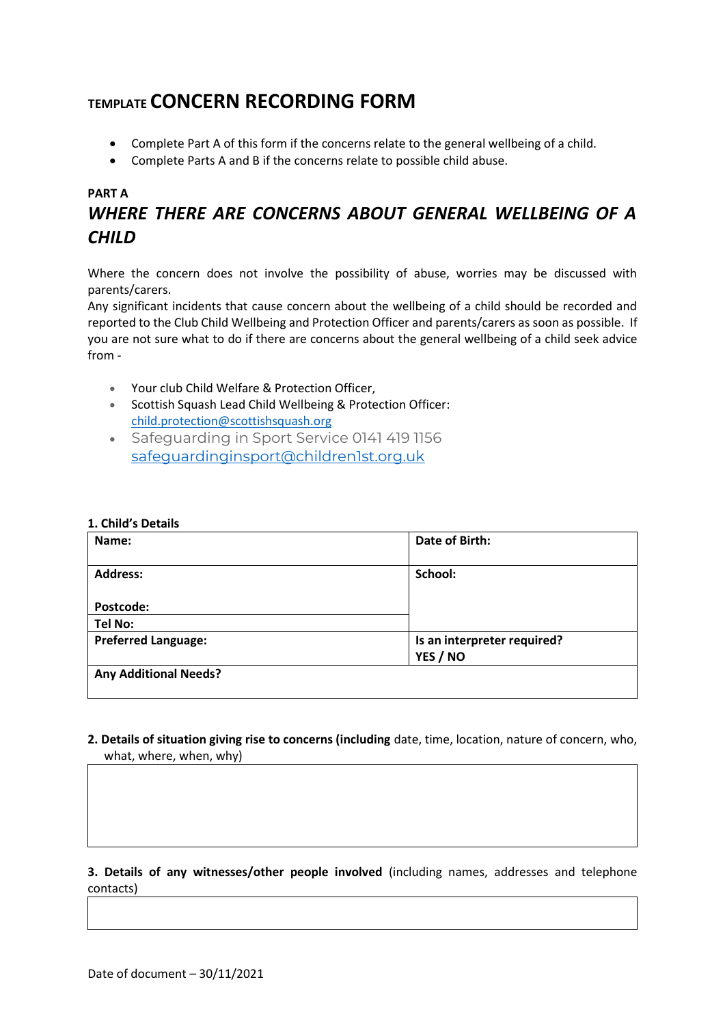# **TEMPLATE CONCERN RECORDING FORM**

- Complete Part A of this form if the concerns relate to the general wellbeing of a child.
- Complete Parts A and B if the concerns relate to possible child abuse.

# **PART A**

# *WHERE THERE ARE CONCERNS ABOUT GENERAL WELLBEING OF A CHILD*

Where the concern does not involve the possibility of abuse, worries may be discussed with parents/carers.

Any significant incidents that cause concern about the wellbeing of a child should be recorded and reported to the Club Child Wellbeing and Protection Officer and parents/carers as soon as possible. If you are not sure what to do if there are concerns about the general wellbeing of a child seek advice from -

- Your club Child Welfare & Protection Officer,
- Scottish Squash Lead Child Wellbeing & Protection Officer: [child.protection@scottishsquash.org](mailto:child.protection@scottishsquash.org)
- Safeguarding in Sport Service 0141 419 1156 [safeguardinginsport@children1st.org.uk](mailto:safeguardinginsport@children1st.org.uk)

#### **1. Child's Details**

| Name:                        | Date of Birth:              |
|------------------------------|-----------------------------|
| <b>Address:</b>              | School:                     |
| Postcode:                    |                             |
| <b>Tel No:</b>               |                             |
| <b>Preferred Language:</b>   | Is an interpreter required? |
|                              | YES / NO                    |
| <b>Any Additional Needs?</b> |                             |

**2. Details of situation giving rise to concerns (including** date, time, location, nature of concern, who, what, where, when, why)

#### **3. Details of any witnesses/other people involved** (including names, addresses and telephone contacts)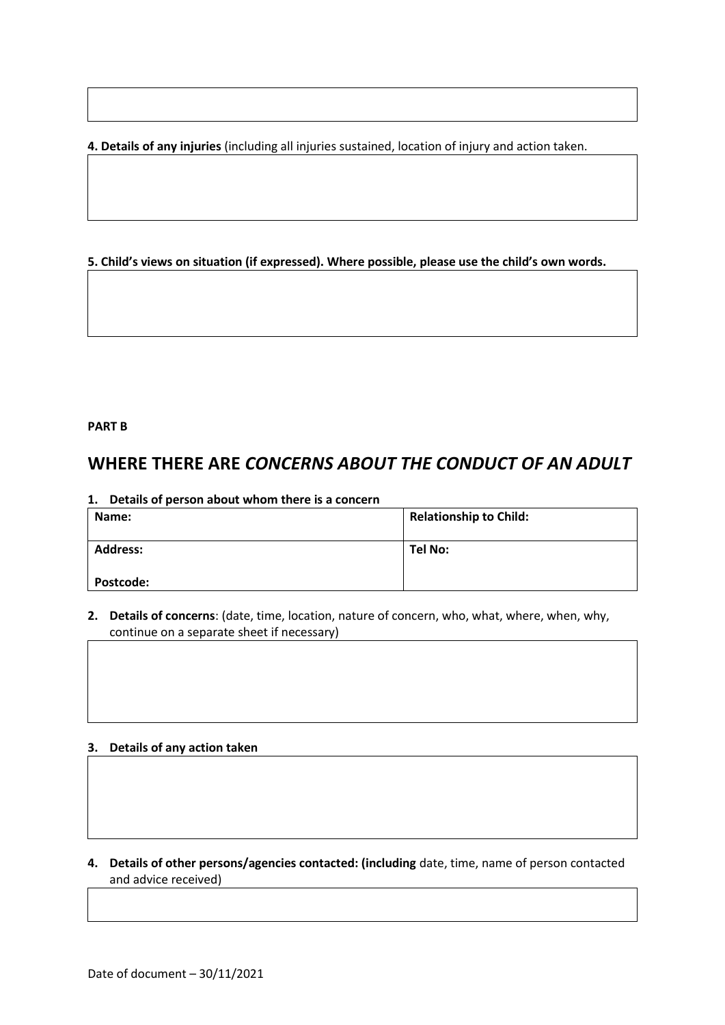**4. Details of any injuries** (including all injuries sustained, location of injury and action taken.

### **5. Child's views on situation (if expressed). Where possible, please use the child's own words.**

#### **PART B**

# **WHERE THERE ARE** *CONCERNS ABOUT THE CONDUCT OF AN ADULT*

| Details of person about whom there is a concern<br>1. |                               |
|-------------------------------------------------------|-------------------------------|
| Name:                                                 | <b>Relationship to Child:</b> |
|                                                       |                               |
| <b>Address:</b>                                       | Tel No:                       |
|                                                       |                               |
| <b>Postcode:</b>                                      |                               |

**2. Details of concerns**: (date, time, location, nature of concern, who, what, where, when, why, continue on a separate sheet if necessary)

### **3. Details of any action taken**

**4. Details of other persons/agencies contacted: (including** date, time, name of person contacted and advice received)